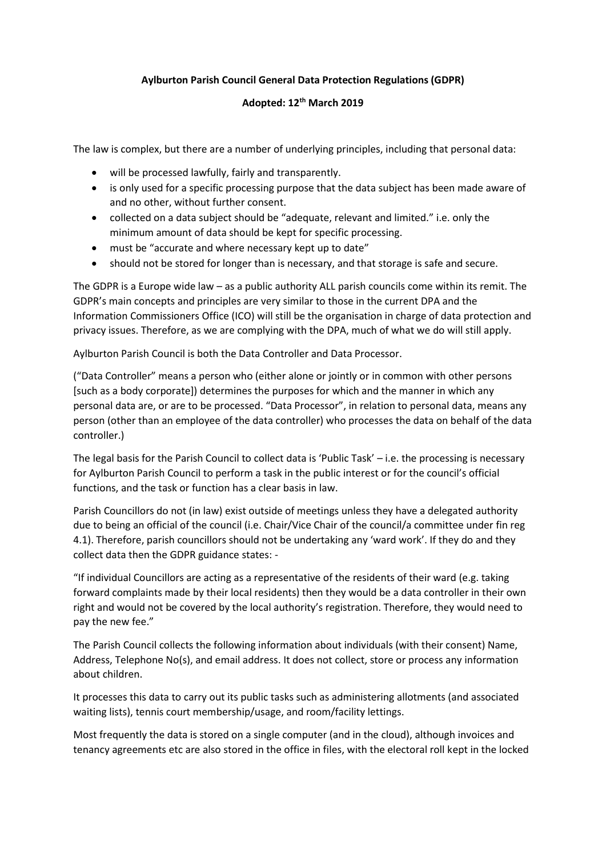## **Aylburton Parish Council General Data Protection Regulations (GDPR)**

# **Adopted: 12th March 2019**

The law is complex, but there are a number of underlying principles, including that personal data:

- will be processed lawfully, fairly and transparently.
- is only used for a specific processing purpose that the data subject has been made aware of and no other, without further consent.
- collected on a data subject should be "adequate, relevant and limited." i.e. only the minimum amount of data should be kept for specific processing.
- must be "accurate and where necessary kept up to date"
- should not be stored for longer than is necessary, and that storage is safe and secure.

The GDPR is a Europe wide law – as a public authority ALL parish councils come within its remit. The GDPR's main concepts and principles are very similar to those in the current DPA and the Information Commissioners Office (ICO) will still be the organisation in charge of data protection and privacy issues. Therefore, as we are complying with the DPA, much of what we do will still apply.

Aylburton Parish Council is both the Data Controller and Data Processor.

("Data Controller" means a person who (either alone or jointly or in common with other persons [such as a body corporate]) determines the purposes for which and the manner in which any personal data are, or are to be processed. "Data Processor", in relation to personal data, means any person (other than an employee of the data controller) who processes the data on behalf of the data controller.)

The legal basis for the Parish Council to collect data is 'Public Task' – i.e. the processing is necessary for Aylburton Parish Council to perform a task in the public interest or for the council's official functions, and the task or function has a clear basis in law.

Parish Councillors do not (in law) exist outside of meetings unless they have a delegated authority due to being an official of the council (i.e. Chair/Vice Chair of the council/a committee under fin reg 4.1). Therefore, parish councillors should not be undertaking any 'ward work'. If they do and they collect data then the GDPR guidance states: -

"If individual Councillors are acting as a representative of the residents of their ward (e.g. taking forward complaints made by their local residents) then they would be a data controller in their own right and would not be covered by the local authority's registration. Therefore, they would need to pay the new fee."

The Parish Council collects the following information about individuals (with their consent) Name, Address, Telephone No(s), and email address. It does not collect, store or process any information about children.

It processes this data to carry out its public tasks such as administering allotments (and associated waiting lists), tennis court membership/usage, and room/facility lettings.

Most frequently the data is stored on a single computer (and in the cloud), although invoices and tenancy agreements etc are also stored in the office in files, with the electoral roll kept in the locked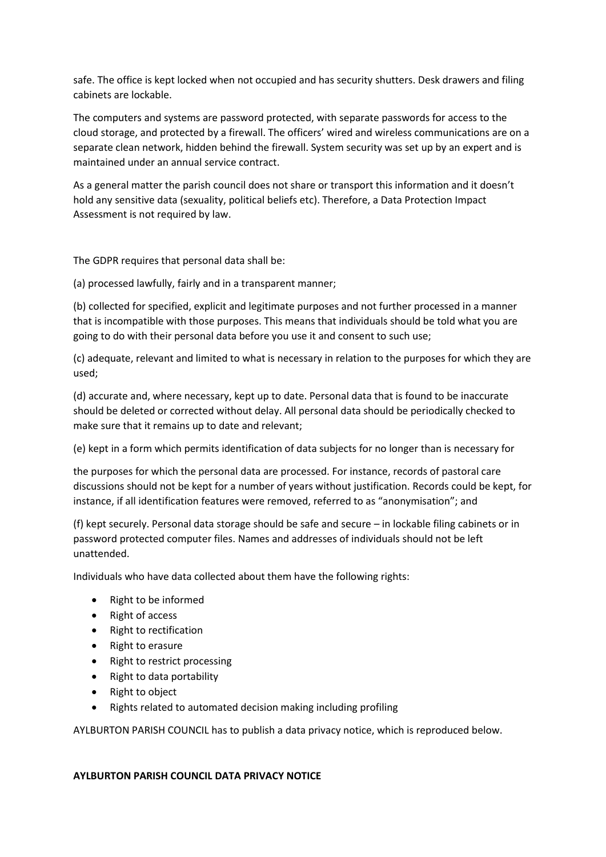safe. The office is kept locked when not occupied and has security shutters. Desk drawers and filing cabinets are lockable.

The computers and systems are password protected, with separate passwords for access to the cloud storage, and protected by a firewall. The officers' wired and wireless communications are on a separate clean network, hidden behind the firewall. System security was set up by an expert and is maintained under an annual service contract.

As a general matter the parish council does not share or transport this information and it doesn't hold any sensitive data (sexuality, political beliefs etc). Therefore, a Data Protection Impact Assessment is not required by law.

The GDPR requires that personal data shall be:

(a) processed lawfully, fairly and in a transparent manner;

(b) collected for specified, explicit and legitimate purposes and not further processed in a manner that is incompatible with those purposes. This means that individuals should be told what you are going to do with their personal data before you use it and consent to such use;

(c) adequate, relevant and limited to what is necessary in relation to the purposes for which they are used;

(d) accurate and, where necessary, kept up to date. Personal data that is found to be inaccurate should be deleted or corrected without delay. All personal data should be periodically checked to make sure that it remains up to date and relevant;

(e) kept in a form which permits identification of data subjects for no longer than is necessary for

the purposes for which the personal data are processed. For instance, records of pastoral care discussions should not be kept for a number of years without justification. Records could be kept, for instance, if all identification features were removed, referred to as "anonymisation"; and

(f) kept securely. Personal data storage should be safe and secure – in lockable filing cabinets or in password protected computer files. Names and addresses of individuals should not be left unattended.

Individuals who have data collected about them have the following rights:

- Right to be informed
- Right of access
- Right to rectification
- Right to erasure
- Right to restrict processing
- Right to data portability
- Right to object
- Rights related to automated decision making including profiling

AYLBURTON PARISH COUNCIL has to publish a data privacy notice, which is reproduced below.

#### **AYLBURTON PARISH COUNCIL DATA PRIVACY NOTICE**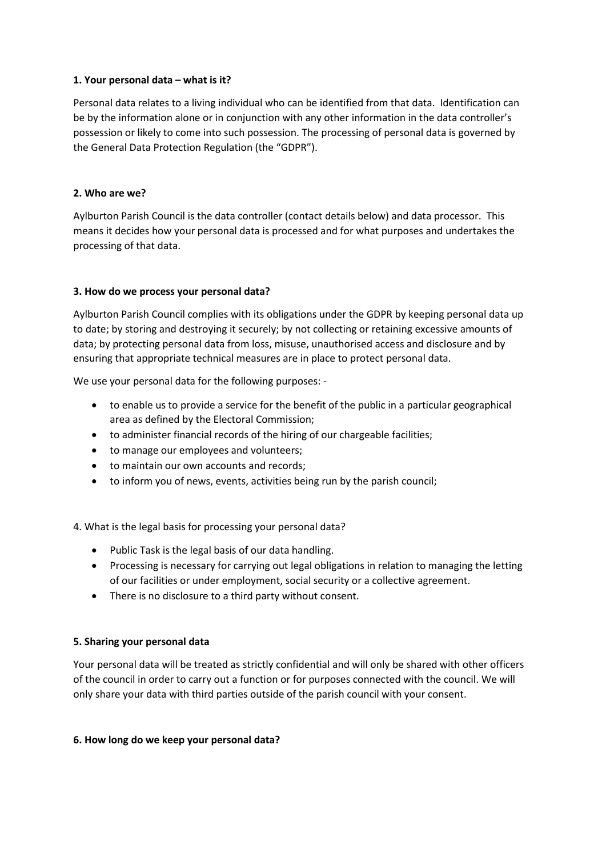### **1. Your personal data – what is it?**

Personal data relates to a living individual who can be identified from that data. Identification can be by the information alone or in conjunction with any other information in the data controller's possession or likely to come into such possession. The processing of personal data is governed by the General Data Protection Regulation (the "GDPR").

### **2. Who are we?**

Aylburton Parish Council is the data controller (contact details below) and data processor. This means it decides how your personal data is processed and for what purposes and undertakes the processing of that data.

### **3. How do we process your personal data?**

Aylburton Parish Council complies with its obligations under the GDPR by keeping personal data up to date; by storing and destroying it securely; by not collecting or retaining excessive amounts of data; by protecting personal data from loss, misuse, unauthorised access and disclosure and by ensuring that appropriate technical measures are in place to protect personal data.

We use your personal data for the following purposes: -

- to enable us to provide a service for the benefit of the public in a particular geographical area as defined by the Electoral Commission;
- to administer financial records of the hiring of our chargeable facilities;
- to manage our employees and volunteers;
- to maintain our own accounts and records;
- to inform you of news, events, activities being run by the parish council;

4. What is the legal basis for processing your personal data?

- Public Task is the legal basis of our data handling.
- Processing is necessary for carrying out legal obligations in relation to managing the letting of our facilities or under employment, social security or a collective agreement.
- There is no disclosure to a third party without consent.

## **5. Sharing your personal data**

Your personal data will be treated as strictly confidential and will only be shared with other officers of the council in order to carry out a function or for purposes connected with the council. We will only share your data with third parties outside of the parish council with your consent.

#### **6. How long do we keep your personal data?**